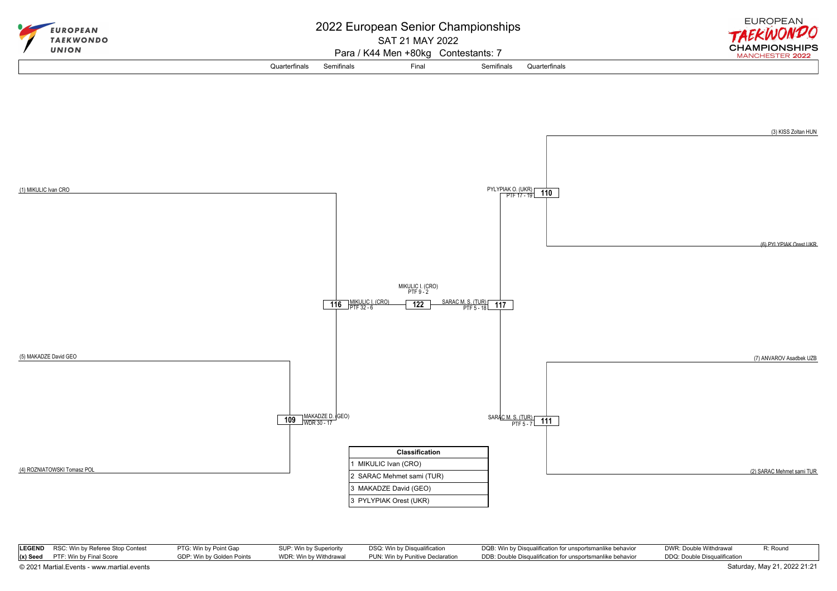

| LEGEND RSC: Win by Referee Stop Contest    | PTG: Win by Point Gap     | SUP: Win by Superiority | DSQ: Win by Disqualification     | DQB: Win by Disqualification for unsportsmanlike behavior | DWR: Double Withdrawal       | R: Round                     |
|--------------------------------------------|---------------------------|-------------------------|----------------------------------|-----------------------------------------------------------|------------------------------|------------------------------|
| $(x)$ Seed PTF: Win by Final Score         | GDP: Win by Golden Points | WDR: Win by Withdrawal  | PUN: Win by Punitive Declaration | DDB: Double Disqualification for unsportsmanlike behavior | DDQ: Double Disqualification |                              |
| © 2021 Martial.Events - www.martial.events |                           |                         |                                  |                                                           |                              | Saturday, May 21, 2022 21:21 |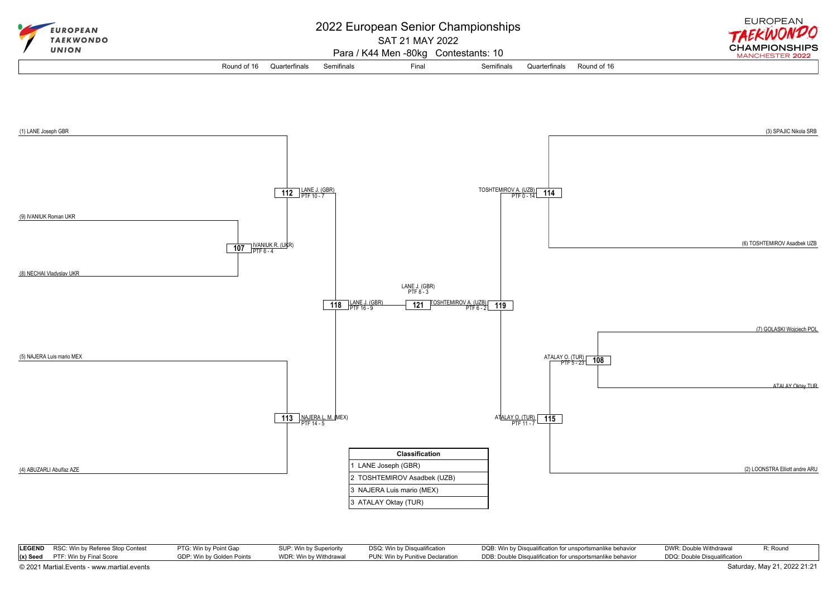

|                                            | LEGEND RSC: Win by Referee Stop Contest | PTG: Win by Point Gap     | SUP: Win by Superiority | DSQ: Win by Disqualification     | DQB: Win by Disqualification for unsportsmanlike behavior | DWR: Double Withdrawal       | R: Round                     |
|--------------------------------------------|-----------------------------------------|---------------------------|-------------------------|----------------------------------|-----------------------------------------------------------|------------------------------|------------------------------|
|                                            | $(x)$ Seed PTF: Win by Final Score      | GDP: Win by Golden Points | WDR: Win by Withdrawal  | PUN: Win by Punitive Declaration | DDB: Double Disqualification for unsportsmanlike behavior | DDQ: Double Disqualification |                              |
| © 2021 Martial.Events - www.martial.events |                                         |                           |                         |                                  |                                                           |                              | Saturday, May 21, 2022 21:21 |